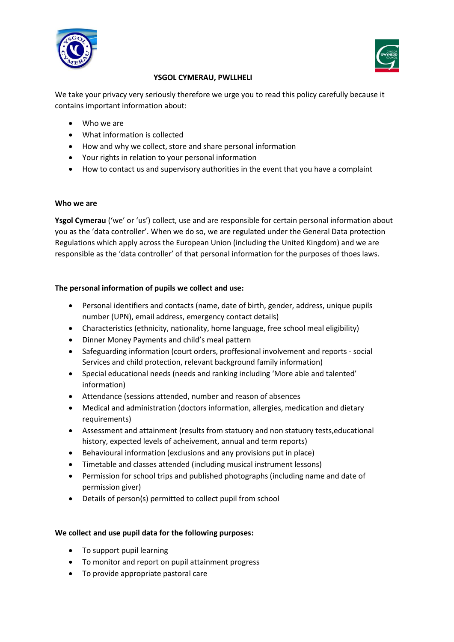



# **YSGOL CYMERAU, PWLLHELI**

We take your privacy very seriously therefore we urge you to read this policy carefully because it contains important information about:

- Who we are
- What information is collected
- How and why we collect, store and share personal information
- Your rights in relation to your personal information
- How to contact us and supervisory authorities in the event that you have a complaint

### **Who we are**

**Ysgol Cymerau** ('we' or 'us') collect, use and are responsible for certain personal information about you as the 'data controller'. When we do so, we are regulated under the General Data protection Regulations which apply across the European Union (including the United Kingdom) and we are responsible as the 'data controller' of that personal information for the purposes of thoes laws.

## **The personal information of pupils we collect and use:**

- Personal identifiers and contacts (name, date of birth, gender, address, unique pupils number (UPN), email address, emergency contact details)
- Characteristics (ethnicity, nationality, home language, free school meal eligibility)
- Dinner Money Payments and child's meal pattern
- Safeguarding information (court orders, proffesional involvement and reports social Services and child protection, relevant background family information)
- Special educational needs (needs and ranking including 'More able and talented' information)
- Attendance (sessions attended, number and reason of absences
- Medical and administration (doctors information, allergies, medication and dietary requirements)
- Assessment and attainment (results from statuory and non statuory tests,educational history, expected levels of acheivement, annual and term reports)
- Behavioural information (exclusions and any provisions put in place)
- Timetable and classes attended (including musical instrument lessons)
- Permission for school trips and published photographs (including name and date of permission giver)
- Details of person(s) permitted to collect pupil from school

## **We collect and use pupil data for the following purposes:**

- To support pupil learning
- To monitor and report on pupil attainment progress
- To provide appropriate pastoral care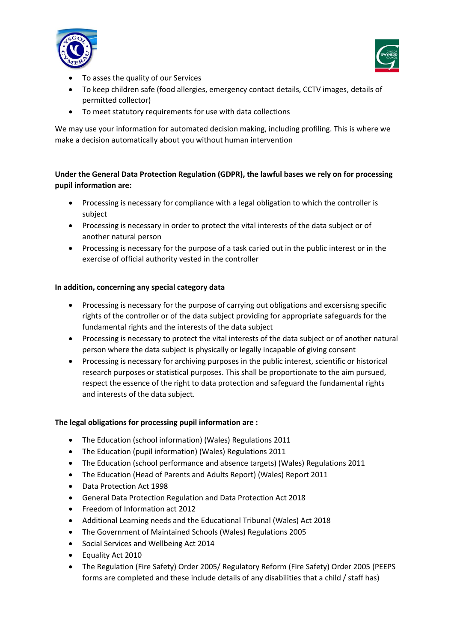



- To asses the quality of our Services
- To keep children safe (food allergies, emergency contact details, CCTV images, details of permitted collector)
- To meet statutory requirements for use with data collections

We may use your information for automated decision making, including profiling. This is where we make a decision automatically about you without human intervention

# **Under the General Data Protection Regulation (GDPR), the lawful bases we rely on for processing pupil information are:**

- Processing is necessary for compliance with a legal obligation to which the controller is subject
- Processing is necessary in order to protect the vital interests of the data subject or of another natural person
- Processing is necessary for the purpose of a task caried out in the public interest or in the exercise of official authority vested in the controller

## **In addition, concerning any special category data**

- Processing is necessary for the purpose of carrying out obligations and excersisng specific rights of the controller or of the data subject providing for appropriate safeguards for the fundamental rights and the interests of the data subject
- Processing is necessary to protect the vital interests of the data subject or of another natural person where the data subject is physically or legally incapable of giving consent
- Processing is necessary for archiving purposes in the public interest, scientific or historical research purposes or statistical purposes. This shall be proportionate to the aim pursued, respect the essence of the right to data protection and safeguard the fundamental rights and interests of the data subject.

## **The legal obligations for processing pupil information are :**

- The Education (school information) (Wales) Regulations 2011
- The Education (pupil information) (Wales) Regulations 2011
- The Education (school performance and absence targets) (Wales) Regulations 2011
- The Education (Head of Parents and Adults Report) (Wales) Report 2011
- Data Protection Act 1998
- General Data Protection Regulation and Data Protection Act 2018
- Freedom of Information act 2012
- Additional Learning needs and the Educational Tribunal (Wales) Act 2018
- The Government of Maintained Schools (Wales) Regulations 2005
- Social Services and Wellbeing Act 2014
- Equality Act 2010
- The Regulation (Fire Safety) Order 2005/ Regulatory Reform (Fire Safety) Order 2005 (PEEPS forms are completed and these include details of any disabilities that a child / staff has)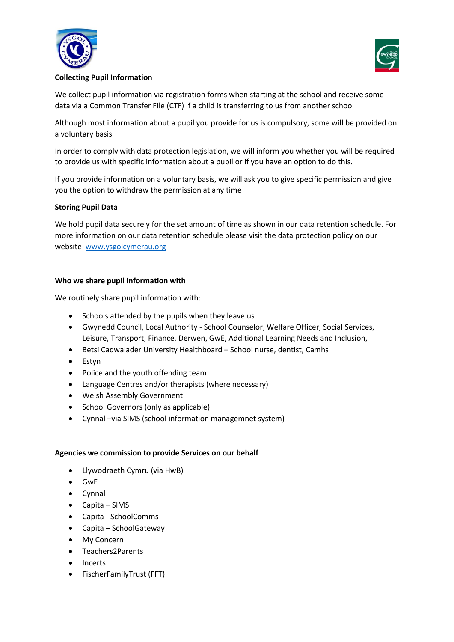



## **Collecting Pupil Information**

We collect pupil information via registration forms when starting at the school and receive some data via a Common Transfer File (CTF) if a child is transferring to us from another school

Although most information about a pupil you provide for us is compulsory, some will be provided on a voluntary basis

In order to comply with data protection legislation, we will inform you whether you will be required to provide us with specific information about a pupil or if you have an option to do this.

If you provide information on a voluntary basis, we will ask you to give specific permission and give you the option to withdraw the permission at any time

## **Storing Pupil Data**

We hold pupil data securely for the set amount of time as shown in our data retention schedule. For more information on our data retention schedule please visit the data protection policy on our website www.ysgolcymerau.org

### **Who we share pupil information with**

We routinely share pupil information with:

- Schools attended by the pupils when they leave us
- Gwynedd Council, Local Authority School Counselor, Welfare Officer, Social Services, Leisure, Transport, Finance, Derwen, GwE, Additional Learning Needs and Inclusion,
- Betsi Cadwalader University Healthboard School nurse, dentist, Camhs
- Estyn
- Police and the youth offending team
- Language Centres and/or therapists (where necessary)
- Welsh Assembly Government
- School Governors (only as applicable)
- Cynnal –via SIMS (school information managemnet system)

### **Agencies we commission to provide Services on our behalf**

- Llywodraeth Cymru (via HwB)
- GwE
- Cynnal
- Capita SIMS
- Capita SchoolComms
- Capita SchoolGateway
- My Concern
- Teachers2Parents
- **Incerts**
- FischerFamilyTrust (FFT)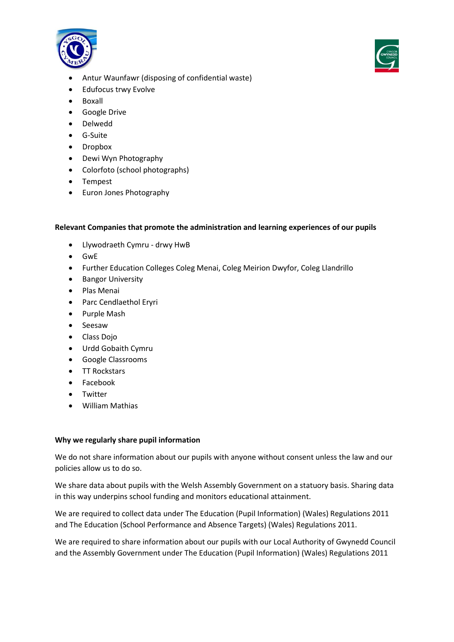



- Antur Waunfawr (disposing of confidential waste)
- Edufocus trwy Evolve
- Boxall
- Google Drive
- Delwedd
- G-Suite
- Dropbox
- Dewi Wyn Photography
- Colorfoto (school photographs)
- Tempest
- Euron Jones Photography

### **Relevant Companies that promote the administration and learning experiences of our pupils**

- Llywodraeth Cymru drwy HwB
- GwE
- Further Education Colleges Coleg Menai, Coleg Meirion Dwyfor, Coleg Llandrillo
- Bangor University
- Plas Menai
- Parc Cendlaethol Eryri
- Purple Mash
- Seesaw
- Class Dojo
- Urdd Gobaith Cymru
- Google Classrooms
- TT Rockstars
- Facebook
- Twitter
- William Mathias

### **Why we regularly share pupil information**

We do not share information about our pupils with anyone without consent unless the law and our policies allow us to do so.

We share data about pupils with the Welsh Assembly Government on a statuory basis. Sharing data in this way underpins school funding and monitors educational attainment.

We are required to collect data under The Education (Pupil Information) (Wales) Regulations 2011 and The Education (School Performance and Absence Targets) (Wales) Regulations 2011.

We are required to share information about our pupils with our Local Authority of Gwynedd Council and the Assembly Government under The Education (Pupil Information) (Wales) Regulations 2011